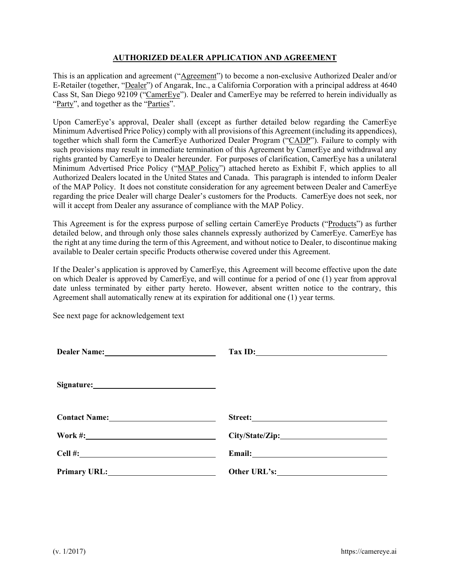## **AUTHORIZED DEALER APPLICATION AND AGREEMENT**

This is an application and agreement ("Agreement") to become a non-exclusive Authorized Dealer and/or E-Retailer (together, "Dealer") of Angarak, Inc., a California Corporation with a principal address at 4640 Cass St, San Diego 92109 ("CamerEye"). Dealer and CamerEye may be referred to herein individually as "Party", and together as the "Parties".

Upon CamerEye's approval, Dealer shall (except as further detailed below regarding the CamerEye Minimum Advertised Price Policy) comply with all provisions of this Agreement (including its appendices), together which shall form the CamerEye Authorized Dealer Program ("CADP"). Failure to comply with such provisions may result in immediate termination of this Agreement by CamerEye and withdrawal any rights granted by CamerEye to Dealer hereunder. For purposes of clarification, CamerEye has a unilateral Minimum Advertised Price Policy ("MAP Policy") attached hereto as Exhibit F, which applies to all Authorized Dealers located in the United States and Canada. This paragraph is intended to inform Dealer of the MAP Policy. It does not constitute consideration for any agreement between Dealer and CamerEye regarding the price Dealer will charge Dealer's customers for the Products. CamerEye does not seek, nor will it accept from Dealer any assurance of compliance with the MAP Policy.

This Agreement is for the express purpose of selling certain CamerEye Products ("Products") as further detailed below, and through only those sales channels expressly authorized by CamerEye. CamerEye has the right at any time during the term of this Agreement, and without notice to Dealer, to discontinue making available to Dealer certain specific Products otherwise covered under this Agreement.

If the Dealer's application is approved by CamerEye, this Agreement will become effective upon the date on which Dealer is approved by CamerEye, and will continue for a period of one (1) year from approval date unless terminated by either party hereto. However, absent written notice to the contrary, this Agreement shall automatically renew at its expiration for additional one (1) year terms.

See next page for acknowledgement text

|                                                                                                                                                                                                                                      | $\boxed{\text{Tax ID:}}$ |
|--------------------------------------------------------------------------------------------------------------------------------------------------------------------------------------------------------------------------------------|--------------------------|
|                                                                                                                                                                                                                                      |                          |
|                                                                                                                                                                                                                                      | Street:                  |
|                                                                                                                                                                                                                                      |                          |
| Cell #: <u>2000 magazine and the set of the set of the set of the set of the set of the set of the set of the set of the set of the set of the set of the set of the set of the set of the set of the set of the set of the set </u> |                          |
| Primary URL: 2008                                                                                                                                                                                                                    |                          |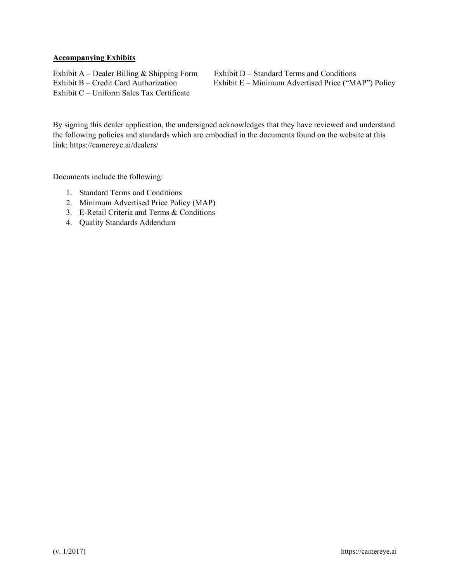## **Accompanying Exhibits**

Exhibit A – Dealer Billing & Shipping Form Exhibit D – Standard Terms and Conditions<br>Exhibit B – Credit Card Authorization Exhibit E – Minimum Advertised Price ("M. Exhibit C – Uniform Sales Tax Certificate

Exhibit  $E -$  Minimum Advertised Price ("MAP") Policy

By signing this dealer application, the undersigned acknowledges that they have reviewed and understand the following policies and standards which are embodied in the documents found on the website at this link: https://camereye.ai/dealers/

Documents include the following:

- 1. Standard Terms and Conditions
- 2. Minimum Advertised Price Policy (MAP)
- 3. E-Retail Criteria and Terms & Conditions
- 4. Quality Standards Addendum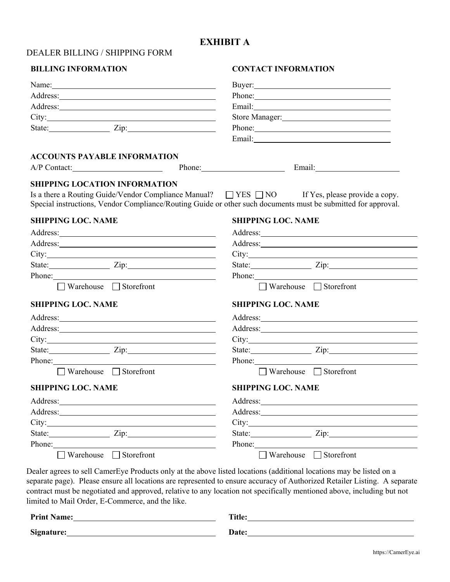# **EXHIBIT A**

|  |  | <b>DEALER BILLING / SHIPPING FORM</b> |  |  |
|--|--|---------------------------------------|--|--|
|--|--|---------------------------------------|--|--|

# **BILLING INFORMATION CONTACT INFORMATION**

|                                                                                                                                                                                                                                                            | Buyer: 2008 and 2008 and 2008 and 2008 and 2008 and 2008 and 2008 and 2008 and 2008 and 2008 and 2008 and 2008 and 2008 and 2008 and 2008 and 2008 and 2008 and 2008 and 2008 and 2008 and 2008 and 2008 and 2008 and 2008 and       |
|------------------------------------------------------------------------------------------------------------------------------------------------------------------------------------------------------------------------------------------------------------|--------------------------------------------------------------------------------------------------------------------------------------------------------------------------------------------------------------------------------------|
|                                                                                                                                                                                                                                                            | Phone:                                                                                                                                                                                                                               |
|                                                                                                                                                                                                                                                            | Email: <u>Alexander School (2001)</u>                                                                                                                                                                                                |
|                                                                                                                                                                                                                                                            | Store Manager:                                                                                                                                                                                                                       |
| State: Zip: Zip:                                                                                                                                                                                                                                           | Phone:                                                                                                                                                                                                                               |
|                                                                                                                                                                                                                                                            |                                                                                                                                                                                                                                      |
| <b>ACCOUNTS PAYABLE INFORMATION</b>                                                                                                                                                                                                                        |                                                                                                                                                                                                                                      |
| A/P Contact: Phone: Phone: Email: Email:                                                                                                                                                                                                                   |                                                                                                                                                                                                                                      |
| <b>SHIPPING LOCATION INFORMATION</b>                                                                                                                                                                                                                       |                                                                                                                                                                                                                                      |
| Is a there a Routing Guide/Vendor Compliance Manual?<br><br><br>TYES $\Box$ NO If Yes, please provide a copy.                                                                                                                                              |                                                                                                                                                                                                                                      |
|                                                                                                                                                                                                                                                            | Special instructions, Vendor Compliance/Routing Guide or other such documents must be submitted for approval.                                                                                                                        |
| <b>SHIPPING LOC. NAME</b>                                                                                                                                                                                                                                  | <b>SHIPPING LOC. NAME</b>                                                                                                                                                                                                            |
|                                                                                                                                                                                                                                                            |                                                                                                                                                                                                                                      |
|                                                                                                                                                                                                                                                            |                                                                                                                                                                                                                                      |
|                                                                                                                                                                                                                                                            |                                                                                                                                                                                                                                      |
| State: <u>Zip:</u> Zip:                                                                                                                                                                                                                                    | State: <u>Zip:</u> Zip:                                                                                                                                                                                                              |
| Phone: 2008 and 2008 and 2008 and 2008 and 2008 and 2008 and 2008 and 2008 and 2008 and 2008 and 2008 and 2008 and 2008 and 2008 and 2008 and 2008 and 2008 and 2008 and 2008 and 2008 and 2008 and 2008 and 2008 and 2008 and                             | Phone: Note and the set of the set of the set of the set of the set of the set of the set of the set of the set of the set of the set of the set of the set of the set of the set of the set of the set of the set of the set        |
| $\Box$ Warehouse $\Box$ Storefront                                                                                                                                                                                                                         | $\Box$ Warehouse $\Box$ Storefront                                                                                                                                                                                                   |
| <b>SHIPPING LOC. NAME</b>                                                                                                                                                                                                                                  | <b>SHIPPING LOC. NAME</b>                                                                                                                                                                                                            |
|                                                                                                                                                                                                                                                            | Address: <u>and the same of the same of the same of the same of the same of the same of the same of the same of the same of the same of the same of the same of the same of the same of the same of the same of the same of the </u> |
|                                                                                                                                                                                                                                                            |                                                                                                                                                                                                                                      |
|                                                                                                                                                                                                                                                            |                                                                                                                                                                                                                                      |
| State: <u>Zip:</u> Zip:                                                                                                                                                                                                                                    | State: <u>Zip:</u> Zip:                                                                                                                                                                                                              |
| Phone:                                                                                                                                                                                                                                                     | Phone:                                                                                                                                                                                                                               |
| $\Box$ Warehouse $\Box$ Storefront                                                                                                                                                                                                                         | □ Warehouse □ Storefront                                                                                                                                                                                                             |
| <b>SHIPPING LOC. NAME</b>                                                                                                                                                                                                                                  | <b>SHIPPING LOC. NAME</b>                                                                                                                                                                                                            |
| Address:<br><u> 1989 - Andrea Station Barbara (b. 1989)</u>                                                                                                                                                                                                |                                                                                                                                                                                                                                      |
|                                                                                                                                                                                                                                                            |                                                                                                                                                                                                                                      |
|                                                                                                                                                                                                                                                            |                                                                                                                                                                                                                                      |
| State: <u>Zip:</u> Zip:                                                                                                                                                                                                                                    | State: <u>Zip:</u> Zip:                                                                                                                                                                                                              |
|                                                                                                                                                                                                                                                            |                                                                                                                                                                                                                                      |
| Phone: 2008 Phone: 2008 Phone: 2008 Phone: 2008 Phone: 2008 Phone: 2008 Phone: 2008 Phone: 2008 Phone: 2008 Phone: 2008 Phone: 2008 Phone: 2008 Phone: 2008 Phone: 2008 Phone: 2008 Phone: 2008 Phone: 2008 Phone: 2008 Phone:<br>□ Warehouse □ Storefront | Phone:<br>□ Warehouse □ Storefront                                                                                                                                                                                                   |

Dealer agrees to sell CamerEye Products only at the above listed locations (additional locations may be listed on a separate page). Please ensure all locations are represented to ensure accuracy of Authorized Retailer Listing. A separate contract must be negotiated and approved, relative to any location not specifically mentioned above, including but not limited to Mail Order, E-Commerce, and the like.

| <b>Print Name:</b> | <b>Title:</b> |
|--------------------|---------------|
| Signature:         | <b>Date:</b>  |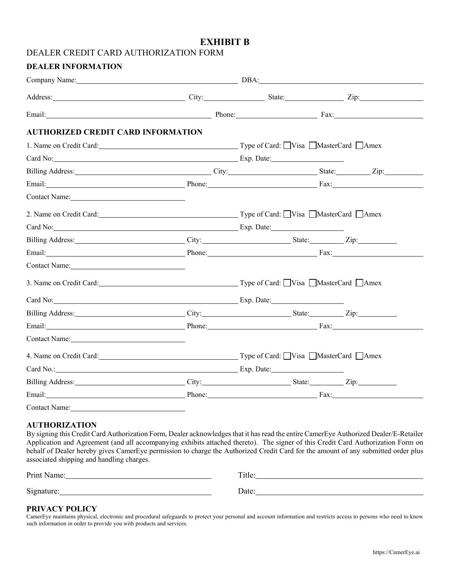# **EXHIBIT B**

## DEALER CREDIT CARD AUTHORIZATION FORM

## **DEALER INFORMATION**

| Address: Zip: City: City: State: Zip: Zip:                                                                                                                                                                                     |  |  |
|--------------------------------------------------------------------------------------------------------------------------------------------------------------------------------------------------------------------------------|--|--|
|                                                                                                                                                                                                                                |  |  |
| <b>AUTHORIZED CREDIT CARD INFORMATION</b>                                                                                                                                                                                      |  |  |
| 1. Name on Credit Card: Card: Card: Type of Card: Uisa MasterCard CAmex                                                                                                                                                        |  |  |
| Card No: Exp. Date: Exp. Date:                                                                                                                                                                                                 |  |  |
|                                                                                                                                                                                                                                |  |  |
|                                                                                                                                                                                                                                |  |  |
| Contact Name: Name and Second Contact Name and Second Contact Name and Second Contact Name and Second Contact N                                                                                                                |  |  |
| 2. Name on Credit Card: Card: Card: Card: Card: Card: Compared Card: Compared Card: Compared Card: C                                                                                                                           |  |  |
| Card No: Exp. Date: Exp. Date:                                                                                                                                                                                                 |  |  |
|                                                                                                                                                                                                                                |  |  |
|                                                                                                                                                                                                                                |  |  |
| Contact Name: 1000 million and the contract Name:                                                                                                                                                                              |  |  |
| 3. Name on Credit Card: Card: Type of Card: Visa MasterCard Amex                                                                                                                                                               |  |  |
| Card No: Exp. Date: Exp. Date: Exp. Date:                                                                                                                                                                                      |  |  |
|                                                                                                                                                                                                                                |  |  |
|                                                                                                                                                                                                                                |  |  |
| Contact Name:                                                                                                                                                                                                                  |  |  |
| 4. Name on Credit Card: Card: Type of Card: Uisa MasterCard Manus 4.                                                                                                                                                           |  |  |
|                                                                                                                                                                                                                                |  |  |
|                                                                                                                                                                                                                                |  |  |
| Email: Fax: France Contract Contract Contract Contract Contract Contract Contract Contract Contract Contract Contract Contract Contract Contract Contract Contract Contract Contract Contract Contract Contract Contract Contr |  |  |
| <b>Contact Name:</b>                                                                                                                                                                                                           |  |  |

## **AUTHORIZATION**

By signing this Credit Card Authorization Form, Dealer acknowledges that it has read the entire CamerEye Authorized Dealer/E-Retailer Application and Agreement (and all accompanying exhibits attached thereto). The signer of this Credit Card Authorization Form on behalf of Dealer hereby gives CamerEye permission to charge the Authorized Credit Card for the amount of any submitted order plus associated shipping and handling charges.

| Print<br>B104222<br>чашс. | + 1 a<br>TUC |
|---------------------------|--------------|
|                           |              |
| Signature:                | Jate<br>ouvv |

## **PRIVACY POLICY**

CamerEye maintains physical, electronic and procedural safeguards to protect your personal and account information and restricts access to persons who need to know such information in order to provide you with products and services.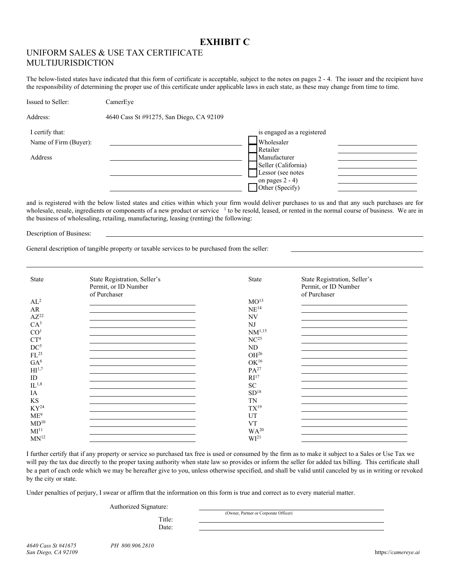# **EXHIBIT C**

# UNIFORM SALES & USE TAX CERTIFICATE MULTIJURISDICTION

The below-listed states have indicated that this form of certificate is acceptable, subject to the notes on pages 2 - 4. The issuer and the recipient have the responsibility of determining the proper use of this certificate under applicable laws in each state, as these may change from time to time.

| Issued to Seller:     | CamerEye                                 |                            |
|-----------------------|------------------------------------------|----------------------------|
| Address:              | 4640 Cass St #91275, San Diego, CA 92109 |                            |
| I certify that:       |                                          | is engaged as a registered |
| Name of Firm (Buyer): |                                          | Wholesaler                 |
|                       |                                          | Retailer                   |
| Address               |                                          | Manufacturer               |
|                       |                                          | Seller (California)        |
|                       |                                          | Lessor (see notes          |
|                       |                                          | on pages $2 - 4$ )         |
|                       |                                          | Other (Specify)            |

and is registered with the below listed states and cities within which your firm would deliver purchases to us and that any such purchases are for wholesale, resale, ingredients or components of a new product or service <sup>1</sup> to be resold, leased, or rented in the normal course of business. We are in the business of wholesaling, retailing, manufacturing, leasing (renting) the following:

Description of Business:

 $\overline{a}$ 

General description of tangible property or taxable services to be purchased from the seller:

| <b>State</b>                 | State Registration, Seller's<br>Permit, or ID Number<br>of Purchaser | State              | State Registration, Seller's<br>Permit, or ID Number<br>of Purchaser |
|------------------------------|----------------------------------------------------------------------|--------------------|----------------------------------------------------------------------|
| $AL^2$                       |                                                                      | MO <sup>13</sup>   |                                                                      |
| AR                           |                                                                      | $\mathrm{NE}^{14}$ |                                                                      |
| $AZ^{22}$                    |                                                                      | <b>NV</b>          |                                                                      |
| CA <sup>3</sup>              |                                                                      | N <sub>J</sub>     |                                                                      |
| CO <sup>1</sup>              |                                                                      | $NM^{1,15}$        |                                                                      |
| CT <sup>4</sup>              |                                                                      | NC <sup>25</sup>   |                                                                      |
| DC <sup>5</sup>              |                                                                      |                    |                                                                      |
| $FL^{23}$                    |                                                                      | ND                 |                                                                      |
|                              |                                                                      | OH <sup>26</sup>   |                                                                      |
| GA <sup>6</sup>              |                                                                      | $\rm OK^{16}$      |                                                                      |
| $\mathrm{HI}^{1,7}$          |                                                                      | $PA^{27}$          |                                                                      |
| ID                           |                                                                      | RI <sup>17</sup>   |                                                                      |
| $IL^{1,8}$                   |                                                                      | <b>SC</b>          |                                                                      |
| IA                           |                                                                      | SD <sup>18</sup>   |                                                                      |
| <b>KS</b>                    |                                                                      | <b>TN</b>          |                                                                      |
| $KY^{24}$                    |                                                                      | $TX^{19}$          |                                                                      |
| ME <sup>9</sup>              |                                                                      | UT                 |                                                                      |
| MD <sup>10</sup>             |                                                                      | <b>VT</b>          |                                                                      |
| $\mathbf{M} \mathbf{I}^{11}$ |                                                                      | WA <sup>20</sup>   |                                                                      |
| $MN^{12}$                    |                                                                      | WI <sup>21</sup>   |                                                                      |

I further certify that if any property or service so purchased tax free is used or consumed by the firm as to make it subject to a Sales or Use Tax we will pay the tax due directly to the proper taxing authority when state law so provides or inform the seller for added tax billing. This certificate shall be a part of each orde which we may be hereafter give to you, unless otherwise specified, and shall be valid until canceled by us in writing or revoked by the city or state.

Under penalties of perjury, I swear or affirm that the information on this form is true and correct as to every material matter.

Authorized Signature:

Title:

(Owner, Partner or Corporate Officer)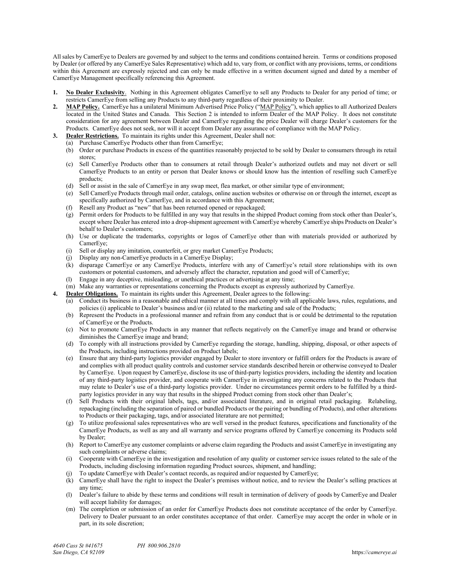All sales by CamerEye to Dealers are governed by and subject to the terms and conditions contained herein. Terms or conditions proposed by Dealer (or offered by any CamerEye Sales Representative) which add to, vary from, or conflict with any provisions, terms, or conditions within this Agreement are expressly rejected and can only be made effective in a written document signed and dated by a member of CamerEye Management specifically referencing this Agreement.

- **1. No Dealer Exclusivity**. Nothing in this Agreement obligates CamerEye to sell any Products to Dealer for any period of time; or restricts CamerEye from selling any Products to any third-party regardless of their proximity to Dealer.
- 2. MAP Policy. CamerEye has a unilateral Minimum Advertised Price Policy ("MAP Policy"), which applies to all Authorized Dealers located in the United States and Canada. This Section 2 is intended to inform Dealer of the MAP Policy. It does not constitute consideration for any agreement between Dealer and CamerEye regarding the price Dealer will charge Dealer's customers for the Products. CamerEye does not seek, nor will it accept from Dealer any assurance of compliance with the MAP Policy.
- **3. Dealer Restrictions.** To maintain its rights under this Agreement, Dealer shall not:
	- (a) Purchase CamerEye Products other than from CamerEye;
	- (b) Order or purchase Products in excess of the quantities reasonably projected to be sold by Dealer to consumers through its retail stores;
	- (c) Sell CamerEye Products other than to consumers at retail through Dealer's authorized outlets and may not divert or sell CamerEye Products to an entity or person that Dealer knows or should know has the intention of reselling such CamerEye products;
	- (d) Sell or assist in the sale of CamerEye in any swap meet, flea market, or other similar type of environment;
	- (e) Sell CamerEye Products through mail order, catalogs, online auction websites or otherwise on or through the internet, except as specifically authorized by CamerEye, and in accordance with this Agreement;
	- (f) Resell any Product as "new" that has been returned opened or repackaged;
	- (g) Permit orders for Products to be fulfilled in any way that results in the shipped Product coming from stock other than Dealer's, except where Dealer has entered into a drop-shipment agreement with CamerEye whereby CamerEye ships Products on Dealer's behalf to Dealer's customers;
	- (h) Use or duplicate the trademarks, copyrights or logos of CamerEye other than with materials provided or authorized by CamerEye;
	- (i) Sell or display any imitation, counterfeit, or grey market CamerEye Products;
	- (j) Display any non-CamerEye products in a CamerEye Display;
	- (k) disparage CamerEye or any CamerEye Products, interfere with any of CamerEye's retail store relationships with its own customers or potential customers, and adversely affect the character, reputation and good will of CamerEye;
	- (l) Engage in any deceptive, misleading, or unethical practices or advertising at any time;
	- (m) Make any warranties or representations concerning the Products except as expressly authorized by CamerEye.
- **4. Dealer Obligations.** To maintain its rights under this Agreement, Dealer agrees to the following:
	- (a) Conduct its business in a reasonable and ethical manner at all times and comply with all applicable laws, rules, regulations, and policies (i) applicable to Dealer's business and/or (ii) related to the marketing and sale of the Products;
	- (b) Represent the Products in a professional manner and refrain from any conduct that is or could be detrimental to the reputation of CamerEye or the Products.
	- (c) Not to promote CamerEye Products in any manner that reflects negatively on the CamerEye image and brand or otherwise diminishes the CamerEye image and brand;
	- (d) To comply with all instructions provided by CamerEye regarding the storage, handling, shipping, disposal, or other aspects of the Products, including instructions provided on Product labels;
	- (e) Ensure that any third-party logistics provider engaged by Dealer to store inventory or fulfill orders for the Products is aware of and complies with all product quality controls and customer service standards described herein or otherwise conveyed to Dealer by CamerEye. Upon request by CamerEye, disclose its use of third-party logistics providers, including the identity and location of any third-party logistics provider, and cooperate with CamerEye in investigating any concerns related to the Products that may relate to Dealer's use of a third-party logistics provider. Under no circumstances permit orders to be fulfilled by a thirdparty logistics provider in any way that results in the shipped Product coming from stock other than Dealer's;
	- (f) Sell Products with their original labels, tags, and/or associated literature, and in original retail packaging. Relabeling, repackaging (including the separation of paired or bundled Products or the pairing or bundling of Products), and other alterations to Products or their packaging, tags, and/or associated literature are not permitted;
	- (g) To utilize professional sales representatives who are well versed in the product features, specifications and functionality of the CamerEye Products, as well as any and all warranty and service programs offered by CamerEye concerning its Products sold by Dealer;
	- (h) Report to CamerEye any customer complaints or adverse claim regarding the Products and assist CamerEye in investigating any such complaints or adverse claims;
	- (i) Cooperate with CamerEye in the investigation and resolution of any quality or customer service issues related to the sale of the Products, including disclosing information regarding Product sources, shipment, and handling;
	- (j) To update CamerEye with Dealer's contact records, as required and/or requested by CamerEye;
	- (k) CamerEye shall have the right to inspect the Dealer's premises without notice, and to review the Dealer's selling practices at any time;
	- (l) Dealer's failure to abide by these terms and conditions will result in termination of delivery of goods by CamerEye and Dealer will accept liability for damages;
	- (m) The completion or submission of an order for CamerEye Products does not constitute acceptance of the order by CamerEye. Delivery to Dealer pursuant to an order constitutes acceptance of that order. CamerEye may accept the order in whole or in part, in its sole discretion;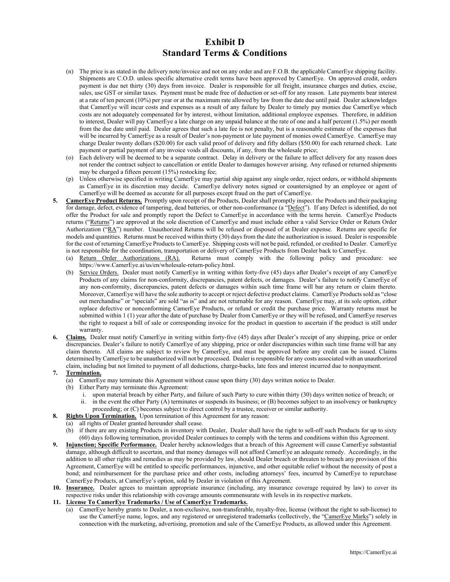- (n) The price is as stated in the delivery note/invoice and not on any order and are F.O.B. the applicable CamerEye shipping facility. Shipments are C.O.D. unless specific alternative credit terms have been approved by CamerEye. On approved credit, orders payment is due net thirty (30) days from invoice. Dealer is responsible for all freight, insurance charges and duties, excise, sales, use GST or similar taxes. Payment must be made free of deduction or set-off for any reason. Late payments bear interest at a rate of ten percent (10%) per year or at the maximum rate allowed by law from the date due until paid. Dealer acknowledges that CamerEye will incur costs and expenses as a result of any failure by Dealer to timely pay monies due CamerEye which costs are not adequately compensated for by interest, without limitation, additional employee expenses. Therefore, in addition to interest, Dealer will pay CamerEye a late charge on any unpaid balance at the rate of one and a half percent (1.5%) per month from the due date until paid. Dealer agrees that such a late fee is not penalty, but is a reasonable estimate of the expenses that will be incurred by CamerEye as a result of Dealer's non-payment or late payment of monies owed CamerEye. CamerEye may charge Dealer twenty dollars (\$20.00) for each valid proof of delivery and fifty dollars (\$50.00) for each returned check. Late payment or partial payment of any invoice voids all discounts, if any, from the wholesale price;
- (o) Each delivery will be deemed to be a separate contract. Delay in delivery or the failure to affect delivery for any reason does not render the contract subject to cancellation or entitle Dealer to damages however arising. Any refused or returned shipments may be charged a fifteen percent (15%) restocking fee;
- (p) Unless otherwise specified in writing CamerEye may partial ship against any single order, reject orders, or withhold shipments as CamerEye in its discretion may decide. CamerEye delivery notes signed or countersigned by an employee or agent of CamerEye will be deemed as accurate for all purposes except fraud on the part of CamerEye.
- **5. CamerEye Product Returns.** Promptly upon receipt of the Products, Dealer shall promptly inspect the Products and their packaging for damage, defect, evidence of tampering, dead batteries, or other non-conformance (a "Defect"). If any Defect is identified, do not offer the Product for sale and promptly report the Defect to CamerEye in accordance with the terms herein. CamerEye Products returns ("Returns") are approved at the sole discretion of CamerEye and must include either a valid Service Order or Return Order Authorization ("RA") number. Unauthorized Returns will be refused or disposed of at Dealer expense. Returns are specific for models and quantities. Returns must be received within thirty (30) days from the date the authorization is issued. Dealer is responsible for the cost of returning CamerEye Products to CamerEye. Shipping costs will not be paid, refunded, or credited to Dealer. CamerEye is not responsible for the coordination, transportation or delivery of CamerEye Products from Dealer back to CamerEye.
	- (a) Return Order Authorizations (RA). Returns must comply with the following policy and procedure: see https://www.CamerEye.ai/us/en/wholesale-return-policy.html.
	- (b) Service Orders. Dealer must notify CamerEye in writing within forty-five (45) days after Dealer's receipt of any CamerEye Products of any claims for non-conformity, discrepancies, patent defects, or damages. Dealer's failure to notify CamerEye of any non-conformity, discrepancies, patent defects or damages within such time frame will bar any return or claim thereto. Moreover, CamerEye will have the sole authority to accept or reject defective product claims. CamerEye Products sold as "close out merchandise" or "specials" are sold "as is" and are not returnable for any reason. CamerEye may, at its sole option, either replace defective or nonconforming CamerEye Products, or refund or credit the purchase price. Warranty returns must be submitted within 1 (1) year after the date of purchase by Dealer from CamerEye or they will be refused, and CamerEye reserves the right to request a bill of sale or corresponding invoice for the product in question to ascertain if the product is still under warranty.
- **6. Claims.** Dealer must notify CamerEye in writing within forty-five (45) days after Dealer's receipt of any shipping, price or order discrepancies. Dealer's failure to notify CamerEye of any shipping, price or order discrepancies within such time frame will bar any claim thereto. All claims are subject to review by CamerEye, and must be approved before any credit can be issued. Claims determined by CamerEye to be unauthorized will not be processed. Dealer is responsible for any costs associated with an unauthorized claim, including but not limited to payment of all deductions, charge-backs, late fees and interest incurred due to nonpayment.

### **7. Termination.**

- (a) CamerEye may terminate this Agreement without cause upon thirty (30) days written notice to Dealer.
- (b) Either Party may terminate this Agreement:
	- i. upon material breach by either Party, and failure of such Party to cure within thirty (30) days written notice of breach; or ii. in the event the other Party (A) terminates or suspends its business; or (B) becomes subject to an insolvency or bankruptcy
	- proceeding; or (C) becomes subject to direct control by a trustee, receiver or similar authority.
- **8. Rights Upon Termination.** Upon termination of this Agreement for any reason:
	- (a) all rights of Dealer granted hereunder shall cease.
		- (b) if there are any existing Products in inventory with Dealer, Dealer shall have the right to sell-off such Products for up to sixty (60) days following termination, provided Dealer continues to comply with the terms and conditions within this Agreement.
- **9. Injunction; Specific Performance.** Dealer hereby acknowledges that a breach of this Agreement will cause CamerEye substantial damage, although difficult to ascertain, and that money damages will not afford CamerEye an adequate remedy. Accordingly, in the addition to all other rights and remedies as may be provided by law, should Dealer breach or threaten to breach any provision of this Agreement, CamerEye will be entitled to specific performances, injunctive, and other equitable relief without the necessity of post a bond; and reimbursement for the purchase price and other costs, including attorneys' fees, incurred by CamerEye to repurchase CamerEye Products, at CamerEye's option, sold by Dealer in violation of this Agreement.
- **10. Insurance.** Dealer agrees to maintain appropriate insurance (including, any insurance coverage required by law) to cover its respective risks under this relationship with coverage amounts commensurate with levels in its respective markets.

### **11. License To CamerEye Trademarks / Use of CamerEye Trademarks.**

(a) CamerEye hereby grants to Dealer, a non-exclusive, non-transferable, royalty-free, license (without the right to sub-license) to use the CamerEye name, logos, and any registered or unregistered trademarks (collectively, the "CamerEye Marks") solely in connection with the marketing, advertising, promotion and sale of the CamerEye Products, as allowed under this Agreement.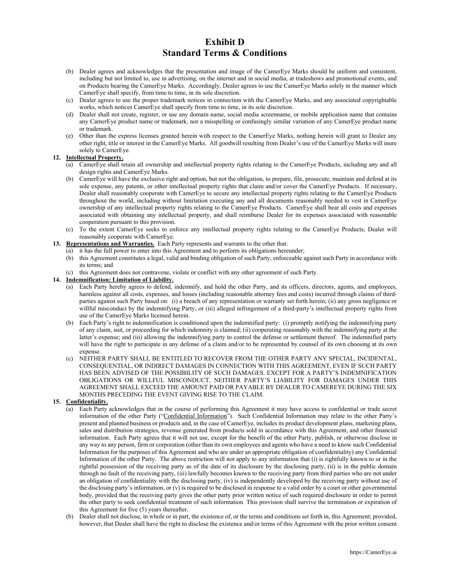- (b) Dealer agrees and acknowledges that the presentation and image of the CamerEye Marks should be uniform and consistent, including but not limited to, use in advertising, on the internet and in social media, at tradeshows and promotional events, and on Products bearing the CamerEye Marks. Accordingly, Dealer agrees to use the CamerEye Marks solely in the manner which CamerEye shall specify, from time to time, in its sole discretion.
- (c) Dealer agrees to use the proper trademark notices in connection with the CamerEye Marks, and any associated copyrightable works, which notices CamerEye shall specify from time to time, in its sole discretion.
- (d) Dealer shall not create, register, or use any domain name, social media screenname, or mobile application name that contains any CamerEye product name or trademark, nor a misspelling or confusingly similar variation of any CamerEye product name or trademark.
- (e) Other than the express licenses granted herein with respect to the CamerEye Marks, nothing herein will grant to Dealer any other right, title or interest in the CamerEye Marks. All goodwill resulting from Dealer's use of the CamerEye Marks will inure solely to CamerEye.

### **12. Intellectual Property.**

- (a) CamerEye shall retain all ownership and intellectual property rights relating to the CamerEye Products, including any and all design rights and CamerEye Marks.
- (b) CamerEye will have the exclusive right and option, but not the obligation, to prepare, file, prosecute, maintain and defend at its sole expense, any patents, or other intellectual property rights that claim and/or cover the CamerEye Products. If necessary, Dealer shall reasonably cooperate with CamerEye to secure any intellectual property rights relating to the CamerEye Products throughout the world, including without limitation executing any and all documents reasonably needed to vest in CamerEye ownership of any intellectual property rights relating to the CamerEye Products. CamerEye shall bear all costs and expenses associated with obtaining any intellectual property, and shall reimburse Dealer for its expenses associated with reasonable cooperation pursuant to this provision.
- (c) To the extent CamerEye seeks to enforce any intellectual property rights relating to the CamerEye Products, Dealer will reasonably cooperate with CamerEye.
- **13. Representations and Warranties.** Each Party represents and warrants to the other that:
	- (a) it has the full power to enter into this Agreement and to perform its obligations hereunder;
	- (b) this Agreement constitutes a legal, valid and binding obligation of such Party, enforceable against such Party in accordance with its terms; and
	- (c) this Agreement does not contravene, violate or conflict with any other agreement of such Party.

## **14. Indemnification; Limitation of Liability.**

- (a) Each Party hereby agrees to defend, indemnify, and hold the other Party, and its officers, directors, agents, and employees, harmless against all costs, expenses, and losses (including reasonable attorney fees and costs) incurred through claims of thirdparties against such Party based on: (i) a breach of any representation or warranty set forth herein; (ii) any gross negligence or willful misconduct by the indemnifying Party; or (iii) alleged infringement of a third-party's intellectual property rights from use of the CamerEye Marks licensed herein.
- (b) Each Party's right to indemnification is conditioned upon the indemnified party: (i) promptly notifying the indemnifying party of any claim, suit, or proceeding for which indemnity is claimed; (ii) cooperating reasonably with the indemnifying party at the latter's expense; and (iii) allowing the indemnifying party to control the defense or settlement thereof. The indemnified party will have the right to participate in any defense of a claim and/or to be represented by counsel of its own choosing at its own expense.
- (c) NEITHER PARTY SHALL BE ENTITLED TO RECOVER FROM THE OTHER PARTY ANY SPECIAL, INCIDENTAL, CONSEQUENTIAL, OR INDIRECT DAMAGES IN CONNECTION WITH THIS AGREEMENT, EVEN IF SUCH PARTY HAS BEEN ADVISED OF THE POSSIBILITY OF SUCH DAMAGES. EXCEPT FOR A PARTY'S INDEMNIFICATION OBLIGATIONS OR WILLFUL MISCONDUCT, NEITHER PARTY'S LIABILITY FOR DAMAGES UNDER THIS AGREEMENT SHALL EXCEED THE AMOUNT PAID OR PAYABLE BY DEALER TO CAMEREYE DURING THE SIX MONTHS PRECEDING THE EVENT GIVING RISE TO THE CLAIM.

#### **15. Confidentiality.**

- (a) Each Party acknowledges that in the course of performing this Agreement it may have access to confidential or trade secret information of the other Party ("Confidential Information"). Such Confidential Information may relate to the other Party's present and planned business or products and, in the case of CamerEye, includes its product development plans, marketing plans, sales and distribution strategies, revenue generated from products sold in accordance with this Agreement, and other financial information. Each Party agrees that it will not use, except for the benefit of the other Party, publish, or otherwise disclose in any way to any person, firm or corporation (other than its own employees and agents who have a need to know such Confidential Information for the purposes of this Agreement and who are under an appropriate obligation of confidentiality) any Confidential Information of the other Party. The above restriction will not apply to any information that (i) is rightfully known to or in the rightful possession of the receiving party as of the date of its disclosure by the disclosing party, (ii) is in the public domain through no fault of the receiving party, (iii) lawfully becomes known to the receiving party from third parties who are not under an obligation of confidentiality with the disclosing party, (iv) is independently developed by the receiving party without use of the disclosing party's information, or (v) is required to be disclosed in response to a valid order by a court or other governmental body, provided that the receiving party gives the other party prior written notice of such required disclosure in order to permit the other party to seek confidential treatment of such information This provision shall survive the termination or expiration of this Agreement for five (5) years thereafter.
- (b) Dealer shall not disclose, in whole or in part, the existence of, or the terms and conditions set forth in, this Agreement; provided, however, that Dealer shall have the right to disclose the existence and/or terms of this Agreement with the prior written consent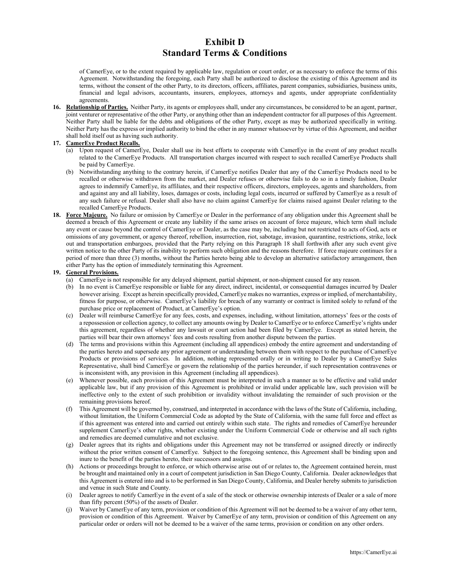of CamerEye, or to the extent required by applicable law, regulation or court order, or as necessary to enforce the terms of this Agreement. Notwithstanding the foregoing, each Party shall be authorized to disclose the existing of this Agreement and its terms, without the consent of the other Party, to its directors, officers, affiliates, parent companies, subsidiaries, business units, financial and legal advisors, accountants, insurers, employees, attorneys and agents, under appropriate confidentiality agreements.

**16. Relationship of Parties.** Neither Party, its agents or employees shall, under any circumstances, be considered to be an agent, partner, joint venturer or representative of the other Party, or anything other than an independent contractor for all purposes of this Agreement. Neither Party shall be liable for the debts and obligations of the other Party, except as may be authorized specifically in writing. Neither Party has the express or implied authority to bind the other in any manner whatsoever by virtue of this Agreement, and neither shall hold itself out as having such authority.

#### **17. CamerEye Product Recalls.**

- (a) Upon request of CamerEye, Dealer shall use its best efforts to cooperate with CamerEye in the event of any product recalls related to the CamerEye Products. All transportation charges incurred with respect to such recalled CamerEye Products shall be paid by CamerEye.
- (b) Notwithstanding anything to the contrary herein, if CamerEye notifies Dealer that any of the CamerEye Products need to be recalled or otherwise withdrawn from the market, and Dealer refuses or otherwise fails to do so in a timely fashion, Dealer agrees to indemnify CamerEye, its affiliates, and their respective officers, directors, employees, agents and shareholders, from and against any and all liability, loses, damages or costs, including legal costs, incurred or suffered by CamerEye as a result of any such failure or refusal. Dealer shall also have no claim against CamerEye for claims raised against Dealer relating to the recalled CamerEye Products.
- **18. Force Majeure.** No failure or omission by CamerEye or Dealer in the performance of any obligation under this Agreement shall be deemed a breach of this Agreement or create any liability if the same arises on account of force majeure, which term shall include any event or cause beyond the control of CamerEye or Dealer, as the case may be, including but not restricted to acts of God, acts or omissions of any government, or agency thereof, rebellion, insurrection, riot, sabotage, invasion, quarantine, restrictions, strike, lock out and transportation embargoes, provided that the Party relying on this Paragraph 18 shall forthwith after any such event give written notice to the other Party of its inability to perform such obligation and the reasons therefore. If force majeure continues for a period of more than three (3) months, without the Parties hereto being able to develop an alternative satisfactory arrangement, then either Party has the option of immediately terminating this Agreement.

## **19. General Provisions.**

- (a) CamerEye is not responsible for any delayed shipment, partial shipment, or non-shipment caused for any reason.
- (b) In no event is CamerEye responsible or liable for any direct, indirect, incidental, or consequential damages incurred by Dealer however arising. Except as herein specifically provided, CamerEye makes no warranties, express or implied, of merchantability, fitness for purpose, or otherwise. CamerEye's liability for breach of any warranty or contract is limited solely to refund of the purchase price or replacement of Product, at CamerEye's option.
- (c) Dealer will reimburse CamerEye for any fees, costs, and expenses, including, without limitation, attorneys' fees or the costs of a repossession or collection agency, to collect any amounts owing by Dealer to CamerEye or to enforce CamerEye's rights under this agreement, regardless of whether any lawsuit or court action had been filed by CamerEye. Except as stated herein, the parties will bear their own attorneys' fees and costs resulting from another dispute between the parties.
- (d) The terms and provisions within this Agreement (including all appendices) embody the entire agreement and understanding of the parties hereto and supersede any prior agreement or understanding between them with respect to the purchase of CamerEye Products or provisions of services. In addition, nothing represented orally or in writing to Dealer by a CamerEye Sales Representative, shall bind CamerEye or govern the relationship of the parties hereunder, if such representation contravenes or is inconsistent with, any provision in this Agreement (including all appendices).
- (e) Whenever possible, each provision of this Agreement must be interpreted in such a manner as to be effective and valid under applicable law, but if any provision of this Agreement is prohibited or invalid under applicable law, such provision will be ineffective only to the extent of such prohibition or invalidity without invalidating the remainder of such provision or the remaining provisions hereof.
- (f) This Agreement will be governed by, construed, and interpreted in accordance with the laws of the State of California, including, without limitation, the Uniform Commercial Code as adopted by the State of California, with the same full force and effect as if this agreement was entered into and carried out entirely within such state. The rights and remedies of CamerEye hereunder supplement CamerEye's other rights, whether existing under the Uniform Commercial Code or otherwise and all such rights and remedies are deemed cumulative and not exclusive.
- (g) Dealer agrees that its rights and obligations under this Agreement may not be transferred or assigned directly or indirectly without the prior written consent of CamerEye. Subject to the foregoing sentence, this Agreement shall be binding upon and inure to the benefit of the parties hereto, their successors and assigns.
- (h) Actions or proceedings brought to enforce, or which otherwise arise out of or relates to, the Agreement contained herein, must be brought and maintained only in a court of competent jurisdiction in San Diego County, California. Dealer acknowledges that this Agreement is entered into and is to be performed in San Diego County, California, and Dealer hereby submits to jurisdiction and venue in such State and County.
- (i) Dealer agrees to notify CamerEye in the event of a sale of the stock or otherwise ownership interests of Dealer or a sale of more than fifty percent (50%) of the assets of Dealer.
- (j) Waiver by CamerEye of any term, provision or condition of this Agreement will not be deemed to be a waiver of any other term, provision or condition of this Agreement. Waiver by CamerEye of any term, provision or condition of this Agreement on any particular order or orders will not be deemed to be a waiver of the same terms, provision or condition on any other orders.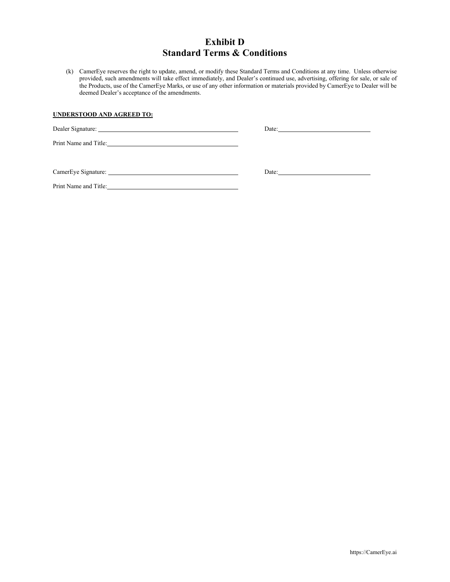(k) CamerEye reserves the right to update, amend, or modify these Standard Terms and Conditions at any time. Unless otherwise provided, such amendments will take effect immediately, and Dealer's continued use, advertising, offering for sale, or sale of the Products, use of the CamerEye Marks, or use of any other information or materials provided by CamerEye to Dealer will be deemed Dealer's acceptance of the amendments.

## **UNDERSTOOD AND AGREED TO:**

| Dealer Signature:                                                                                                                             | Date: $\qquad \qquad \qquad$ |
|-----------------------------------------------------------------------------------------------------------------------------------------------|------------------------------|
|                                                                                                                                               |                              |
|                                                                                                                                               | Date: $\qquad \qquad \qquad$ |
| Print Name and Title:<br><u> 1989 - Jan Stein Stein Stein Stein Stein Stein Stein Stein Stein Stein Stein Stein Stein Stein Stein Stein S</u> |                              |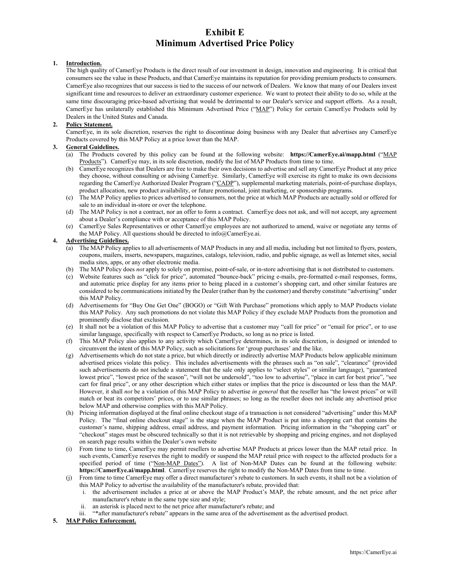# **Exhibit E Minimum Advertised Price Policy**

#### **1. Introduction.**

The high quality of CamerEye Products is the direct result of our investment in design, innovation and engineering. It is critical that consumers see the value in these Products, and that CamerEye maintains its reputation for providing premium products to consumers. CamerEye also recognizes that our success is tied to the success of our network of Dealers. We know that many of our Dealers invest significant time and resources to deliver an extraordinary customer experience. We want to protect their ability to do so, while at the same time discouraging price-based advertising that would be detrimental to our Dealer's service and support efforts. As a result, CamerEye has unilaterally established this Minimum Advertised Price ("MAP") Policy for certain CamerEye Products sold by Dealers in the United States and Canada.

### **2. Policy Statement.**

CamerEye, in its sole discretion, reserves the right to discontinue doing business with any Dealer that advertises any CamerEye Products covered by this MAP Policy at a price lower than the MAP.

#### **3. General Guidelines.**

- (a) The Products covered by this policy can be found at the following website: **https://CamerEye.ai/mapp.html** ("MAP Products"). CamerEye may, in its sole discretion, modify the list of MAP Products from time to time.
- (b) CamerEye recognizes that Dealers are free to make their own decisions to advertise and sell any CamerEye Product at any price they choose, without consulting or advising CamerEye. Similarly, CamerEye will exercise its right to make its own decisions regarding the CamerEye Authorized Dealer Program ("CADP"), supplemental marketing materials, point-of-purchase displays, product allocation, new product availability, or future promotional, joint marketing, or sponsorship programs.
- (c) The MAP Policy applies to prices advertised to consumers, not the price at which MAP Products are actually sold or offered for sale to an individual in-store or over the telephone.
- (d) The MAP Policy is not a contract, nor an offer to form a contract. CamerEye does not ask, and will not accept, any agreement about a Dealer's compliance with or acceptance of this MAP Policy.
- (e) CamerEye Sales Representatives or other CamerEye employees are not authorized to amend, waive or negotiate any terms of the MAP Policy. All questions should be directed to info@CamerEye.ai.

#### **4. Advertising Guidelines.**

- (a) The MAP Policy applies to all advertisements of MAP Products in any and all media, including but not limited to flyers, posters, coupons, mailers, inserts, newspapers, magazines, catalogs, television, radio, and public signage, as well as Internet sites, social media sites, apps, or any other electronic media.
- (b) The MAP Policy does *not* apply to solely on premise, point-of-sale, or in-store advertising that is not distributed to customers.
- (c) Website features such as "click for price", automated "bounce-back" pricing e-mails, pre-formatted e-mail responses, forms, and automatic price display for any items prior to being placed in a customer's shopping cart, and other similar features are considered to be communications initiated by the Dealer (rather than by the customer) and thereby constitute "advertising" under this MAP Policy.
- (d) Advertisements for "Buy One Get One" (BOGO) or "Gift With Purchase" promotions which apply to MAP Products violate this MAP Policy. Any such promotions do not violate this MAP Policy if they exclude MAP Products from the promotion and prominently disclose that exclusion.
- (e) It shall not be a violation of this MAP Policy to advertise that a customer may "call for price" or "email for price", or to use similar language, specifically with respect to CamerEye Products, so long as no price is listed.
- (f) This MAP Policy also applies to any activity which CamerEye determines, in its sole discretion, is designed or intended to circumvent the intent of this MAP Policy, such as solicitations for 'group purchases' and the like.
- (g) Advertisements which do not state a price, but which directly or indirectly advertise MAP Products below applicable minimum advertised prices violate this policy. This includes advertisements with the phrases such as "on sale", "clearance" (provided such advertisements do not include a statement that the sale only applies to "select styles" or similar language), "guaranteed lowest price", "lowest price of the season", "will not be undersold", "too low to advertise", "place in cart for best price", "see cart for final price", or any other description which either states or implies that the price is discounted or less than the MAP. However, it shall *not* be a violation of this MAP Policy to advertise *in general* that the reseller has "the lowest prices" or will match or beat its competitors' prices, or to use similar phrases; so long as the reseller does not include any advertised price below MAP and otherwise complies with this MAP Policy.
- (h) Pricing information displayed at the final online checkout stage of a transaction is not considered "advertising" under this MAP Policy. The "final online checkout stage" is the stage when the MAP Product is put into a shopping cart that contains the customer's name, shipping address, email address, and payment information. Pricing information in the "shopping cart" or "checkout" stages must be obscured technically so that it is not retrievable by shopping and pricing engines, and not displayed on search page results within the Dealer's own website
- (i) From time to time, CamerEye may permit resellers to advertise MAP Products at prices lower than the MAP retail price. In such events, CamerEye reserves the right to modify or suspend the MAP retail price with respect to the affected products for a specified period of time ("Non-MAP Dates"). A list of Non-MAP Dates can be found at the following website: **https://CamerEye.ai/mapp.html**. CamerEye reserves the right to modify the Non-MAP Dates from time to time.
- (j) From time to time CamerEye may offer a direct manufacturer's rebate to customers. In such events, it shall not be a violation of this MAP Policy to advertise the availability of the manufacturer's rebate, provided that:
	- i. the advertisement includes a price at or above the MAP Product's MAP, the rebate amount, and the net price after manufacturer's rebate in the same type size and style;
	- ii. an asterisk is placed next to the net price after manufacturer's rebate; and
	- iii. "\*after manufacturer's rebate" appears in the same area of the advertisement as the advertised product.

#### **5. MAP Policy Enforcement.**